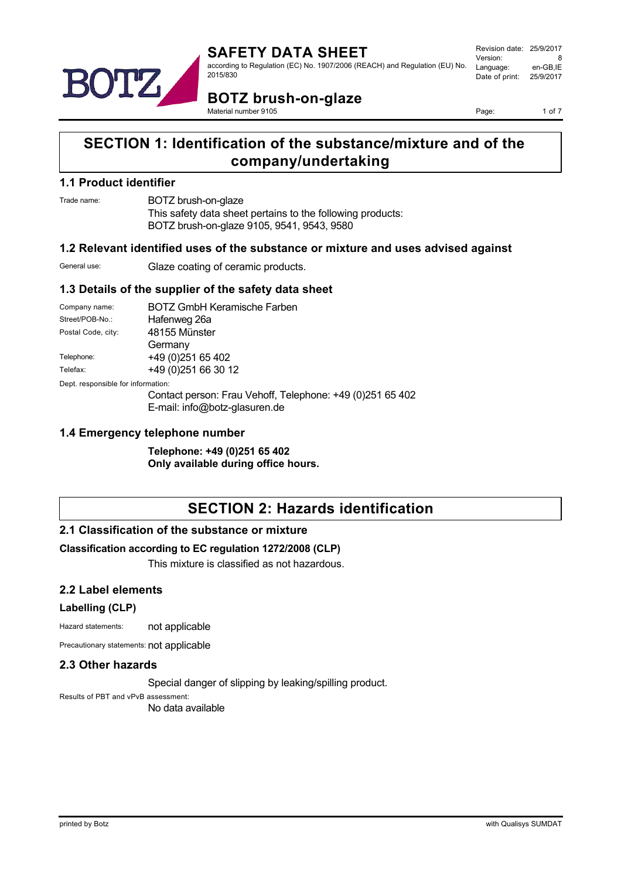

**BOTZ brush-on-glaze** Material number 9105

Page: 1 of 7

## **SECTION 1: Identification of the substance/mixture and of the company/undertaking**

#### **1.1 Product identifier**

Trade name: BOTZ brush-on-glaze

This safety data sheet pertains to the following products: BOTZ brush-on-glaze 9105, 9541, 9543, 9580

#### **1.2 Relevant identified uses of the substance or mixture and uses advised against**

General use: Glaze coating of ceramic products.

#### **1.3 Details of the supplier of the safety data sheet**

| Company name:                      | <b>BOTZ GmbH Keramische Farben</b> |                                                           |  |  |
|------------------------------------|------------------------------------|-----------------------------------------------------------|--|--|
| Street/POB-No.:                    | Hafenweg 26a                       |                                                           |  |  |
| Postal Code, city:                 | 48155 Münster                      |                                                           |  |  |
|                                    | Germany                            |                                                           |  |  |
| Telephone:                         | +49 (0) 251 65 402                 |                                                           |  |  |
| Telefax:                           | +49 (0) 251 66 30 12               |                                                           |  |  |
| Dept. responsible for information: |                                    |                                                           |  |  |
|                                    |                                    | Contact person: Frau Vehoff, Telephone: +49 (0)251 65 402 |  |  |
|                                    | E-mail: info@botz-glasuren.de      |                                                           |  |  |

#### **1.4 Emergency telephone number**

**Telephone: +49 (0)251 65 402 Only available during office hours.**

# **SECTION 2: Hazards identification**

## **2.1 Classification of the substance or mixture**

#### **Classification according to EC regulation 1272/2008 (CLP)**

This mixture is classified as not hazardous.

#### **2.2 Label elements**

#### **Labelling (CLP)**

Hazard statements: not applicable

Precautionary statements: not applicable

#### **2.3 Other hazards**

Special danger of slipping by leaking/spilling product.

Results of PBT and vPvB assessment: No data available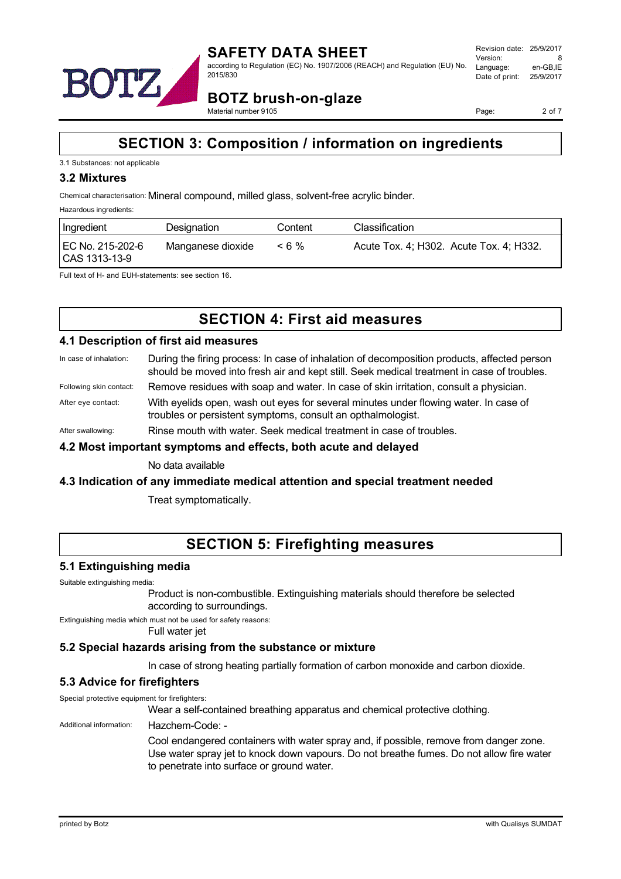

**BOTZ brush-on-glaze** Material number 9105

Page: 2 of 7

## **SECTION 3: Composition / information on ingredients**

#### 3.1 Substances: not applicable

#### **3.2 Mixtures**

Chemical characterisation: Mineral compound, milled glass, solvent-free acrylic binder.

Hazardous ingredients:

| Ingredient                        | Designation       | Content | Classification                          |
|-----------------------------------|-------------------|---------|-----------------------------------------|
| EC No. 215-202-6<br>CAS 1313-13-9 | Manganese dioxide | $< 6\%$ | Acute Tox. 4; H302. Acute Tox. 4; H332. |

Full text of H- and EUH-statements: see section 16.

## **SECTION 4: First aid measures**

#### **4.1 Description of first aid measures**

- In case of inhalation: During the firing process: In case of inhalation of decomposition products, affected person should be moved into fresh air and kept still. Seek medical treatment in case of troubles.
- Following skin contact: Remove residues with soap and water. In case of skin irritation, consult a physician.
- After eye contact: With eyelids open, wash out eyes for several minutes under flowing water. In case of troubles or persistent symptoms, consult an opthalmologist.

After swallowing: Rinse mouth with water. Seek medical treatment in case of troubles.

#### **4.2 Most important symptoms and effects, both acute and delayed**

No data available

#### **4.3 Indication of any immediate medical attention and special treatment needed**

Treat symptomatically.

## **SECTION 5: Firefighting measures**

#### **5.1 Extinguishing media**

Suitable extinguishing media:

Product is non-combustible. Extinguishing materials should therefore be selected according to surroundings.

Extinguishing media which must not be used for safety reasons:

Full water jet

#### **5.2 Special hazards arising from the substance or mixture**

In case of strong heating partially formation of carbon monoxide and carbon dioxide.

## **5.3 Advice for firefighters**

Special protective equipment for firefighters:

Wear a self-contained breathing apparatus and chemical protective clothing.

#### Additional information: Hazchem-Code: -

Cool endangered containers with water spray and, if possible, remove from danger zone. Use water spray jet to knock down vapours. Do not breathe fumes. Do not allow fire water to penetrate into surface or ground water.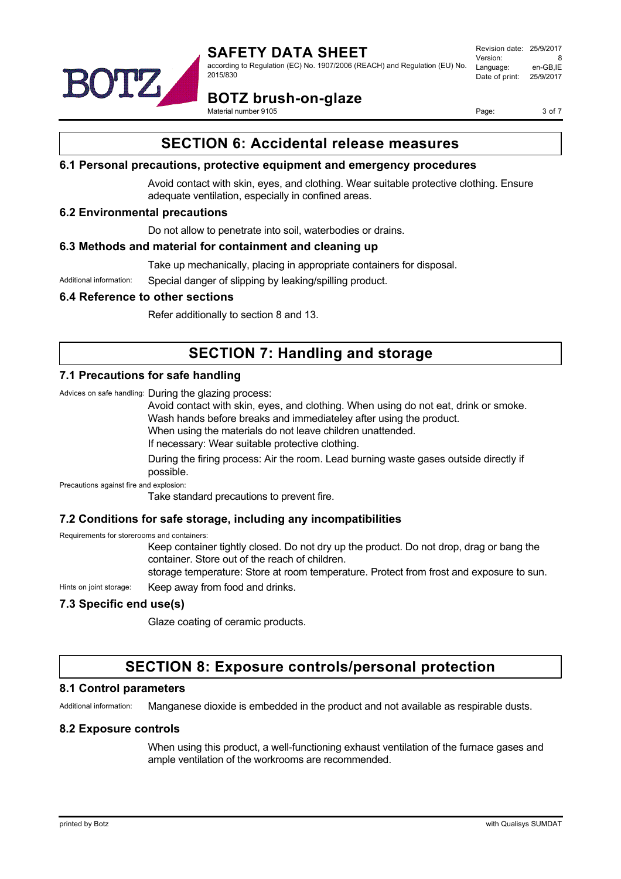



**BOTZ brush-on-glaze**

Material number 9105

Page: 3 of 7

## **SECTION 6: Accidental release measures**

#### **6.1 Personal precautions, protective equipment and emergency procedures**

Avoid contact with skin, eyes, and clothing. Wear suitable protective clothing. Ensure adequate ventilation, especially in confined areas.

## **6.2 Environmental precautions**

Do not allow to penetrate into soil, waterbodies or drains.

#### **6.3 Methods and material for containment and cleaning up**

Take up mechanically, placing in appropriate containers for disposal.

Additional information: Special danger of slipping by leaking/spilling product.

#### **6.4 Reference to other sections**

Refer additionally to section 8 and 13.

# **SECTION 7: Handling and storage**

#### **7.1 Precautions for safe handling**

Advices on safe handling: During the glazing process:

Avoid contact with skin, eyes, and clothing. When using do not eat, drink or smoke.

Wash hands before breaks and immediateley after using the product.

When using the materials do not leave children unattended.

If necessary: Wear suitable protective clothing.

During the firing process: Air the room. Lead burning waste gases outside directly if possible.

Precautions against fire and explosion:

Take standard precautions to prevent fire.

## **7.2 Conditions for safe storage, including any incompatibilities**

Requirements for storerooms and containers:

Keep container tightly closed. Do not dry up the product. Do not drop, drag or bang the container. Store out of the reach of children.

storage temperature: Store at room temperature. Protect from frost and exposure to sun.

Hints on joint storage: Keep away from food and drinks.

## **7.3 Specific end use(s)**

Glaze coating of ceramic products.

# **SECTION 8: Exposure controls/personal protection**

#### **8.1 Control parameters**

Additional information: Manganese dioxide is embedded in the product and not available as respirable dusts.

#### **8.2 Exposure controls**

When using this product, a well-functioning exhaust ventilation of the furnace gases and ample ventilation of the workrooms are recommended.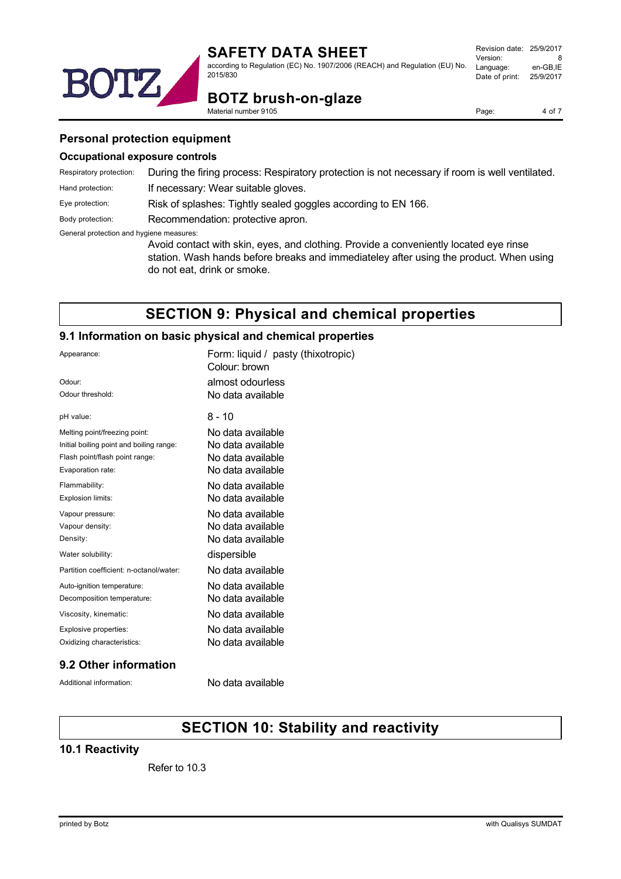

according to Regulation (EC) No. 1907/2006 (REACH) and Regulation (EU) No. 2015/830

| Revision date: 25/9/2017 |           |
|--------------------------|-----------|
| Version:                 | 8         |
| Language:                | en-GB.IE  |
| Date of print:           | 25/9/2017 |
|                          |           |

# BOTZ **BOTZ brush-on-glaze**

Material number 9105

Page: 4 of 7

#### **Personal protection equipment**

#### **Occupational exposure controls**

| Respiratory protection:                  | During the firing process: Respiratory protection is not necessary if room is well ventilated.                                                                                                                 |  |  |
|------------------------------------------|----------------------------------------------------------------------------------------------------------------------------------------------------------------------------------------------------------------|--|--|
| Hand protection:                         | If necessary: Wear suitable gloves.                                                                                                                                                                            |  |  |
| Eye protection:                          | Risk of splashes: Tightly sealed goggles according to EN 166.                                                                                                                                                  |  |  |
| Body protection:                         | Recommendation: protective apron.                                                                                                                                                                              |  |  |
| General protection and hygiene measures: | Avoid contact with skin, eyes, and clothing. Provide a conveniently located eye rinse<br>station. Wash hands before breaks and immediateley after using the product. When using<br>do not eat, drink or smoke. |  |  |

## **SECTION 9: Physical and chemical properties**

## **9.1 Information on basic physical and chemical properties**

| Appearance:                              | Form: liquid / pasty (thixotropic)<br>Colour: brown |
|------------------------------------------|-----------------------------------------------------|
| Odour:                                   | almost odourless                                    |
| Odour threshold:                         | No data available                                   |
| pH value:                                | 8 - 10                                              |
| Melting point/freezing point:            | No data available                                   |
| Initial boiling point and boiling range: | No data available                                   |
| Flash point/flash point range:           | No data available                                   |
| Evaporation rate:                        | No data available                                   |
| Flammability:                            | No data available                                   |
| Explosion limits:                        | No data available                                   |
| Vapour pressure:                         | No data available                                   |
| Vapour density:                          | No data available                                   |
| Density:                                 | No data available                                   |
| Water solubility:                        | dispersible                                         |
| Partition coefficient: n-octanol/water:  | No data available                                   |
| Auto-ignition temperature:               | No data available                                   |
| Decomposition temperature:               | No data available                                   |
| Viscosity, kinematic:                    | No data available                                   |
| Explosive properties:                    | No data available                                   |
| Oxidizing characteristics:               | No data available                                   |
|                                          |                                                     |

## **9.2 Other information**

Additional information: No data available

# **SECTION 10: Stability and reactivity**

## **10.1 Reactivity**

Refer to 10.3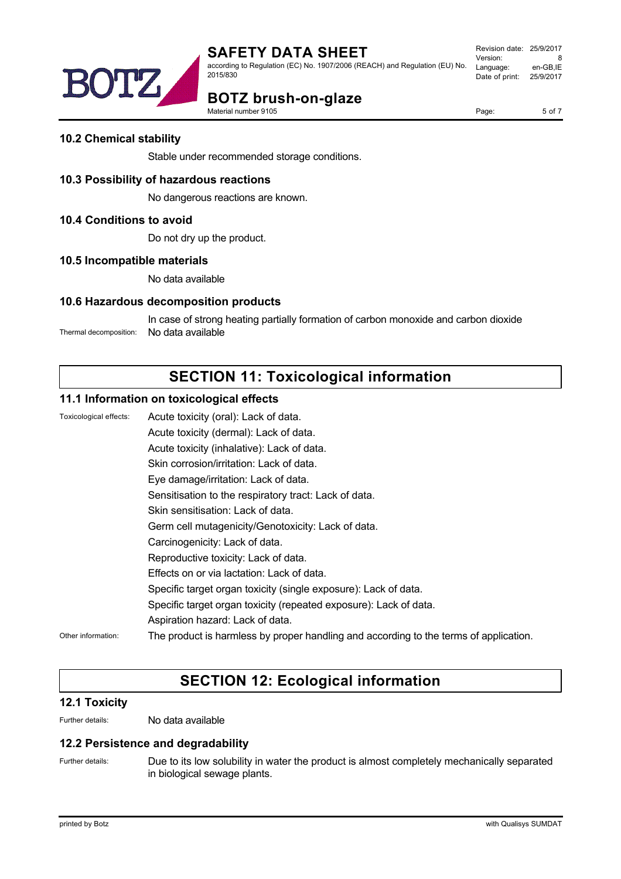

# DTZ

**BOTZ brush-on-glaze**

Material number 9105

Page: 5 of 7

## **10.2 Chemical stability**

Stable under recommended storage conditions.

## **10.3 Possibility of hazardous reactions**

No dangerous reactions are known.

#### **10.4 Conditions to avoid**

Do not dry up the product.

#### **10.5 Incompatible materials**

No data available

## **10.6 Hazardous decomposition products**

In case of strong heating partially formation of carbon monoxide and carbon dioxide Thermal decomposition: No data available

# **SECTION 11: Toxicological information**

#### **11.1 Information on toxicological effects**

Toxicological effects: Acute toxicity (oral): Lack of data. Acute toxicity (dermal): Lack of data. Acute toxicity (inhalative): Lack of data. Skin corrosion/irritation: Lack of data. Eye damage/irritation: Lack of data. Sensitisation to the respiratory tract: Lack of data. Skin sensitisation: Lack of data. Germ cell mutagenicity/Genotoxicity: Lack of data. Carcinogenicity: Lack of data. Reproductive toxicity: Lack of data. Effects on or via lactation: Lack of data. Specific target organ toxicity (single exposure): Lack of data. Specific target organ toxicity (repeated exposure): Lack of data. Aspiration hazard: Lack of data. Other information: The product is harmless by proper handling and according to the terms of application.

# **SECTION 12: Ecological information**

## **12.1 Toxicity**

Further details: No data available

#### **12.2 Persistence and degradability**

Further details: Due to its low solubility in water the product is almost completely mechanically separated in biological sewage plants.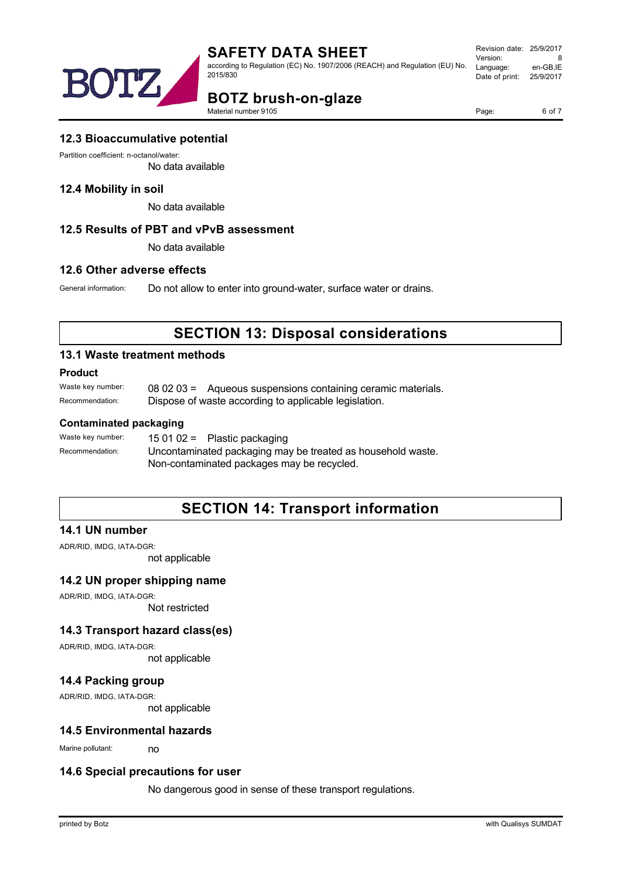



**BOTZ brush-on-glaze**

Material number 9105

Page: 6 of 7

#### **12.3 Bioaccumulative potential**

Partition coefficient: n-octanol/water:

No data available

#### **12.4 Mobility in soil**

No data available

#### **12.5 Results of PBT and vPvB assessment**

No data available

#### **12.6 Other adverse effects**

General information: Do not allow to enter into ground-water, surface water or drains.

# **SECTION 13: Disposal considerations**

#### **13.1 Waste treatment methods**

#### **Product**

Waste key number: 08 02 03 = Aqueous suspensions containing ceramic materials. Recommendation: Dispose of waste according to applicable legislation.

#### **Contaminated packaging**

Waste key number: 15 01 02 = Plastic packaging Recommendation: Uncontaminated packaging may be treated as household waste. Non-contaminated packages may be recycled.

# **SECTION 14: Transport information**

#### **14.1 UN number**

ADR/RID, IMDG, IATA-DGR:

not applicable

#### **14.2 UN proper shipping name**

ADR/RID, IMDG, IATA-DGR: Not restricted

## **14.3 Transport hazard class(es)**

ADR/RID, IMDG, IATA-DGR:

not applicable

## **14.4 Packing group**

ADR/RID, IMDG, IATA-DGR:

not applicable

#### **14.5 Environmental hazards**

Marine pollutant: no

#### **14.6 Special precautions for user**

No dangerous good in sense of these transport regulations.